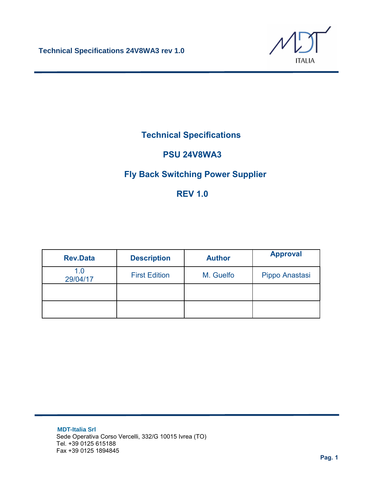

## **Technical Specifications**

## **PSU 24V8WA3**

## **Fly Back Switching Power Supplier**

## **REV 1.0**

| <b>Rev.Data</b> | <b>Description</b>   | <b>Author</b> | <b>Approval</b> |
|-----------------|----------------------|---------------|-----------------|
| 1.0<br>29/04/17 | <b>First Edition</b> | M. Guelfo     | Pippo Anastasi  |
|                 |                      |               |                 |
|                 |                      |               |                 |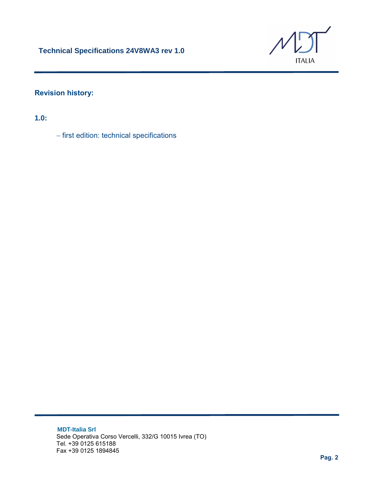

#### **Revision history:**

**1.0:**

− first edition: technical specifications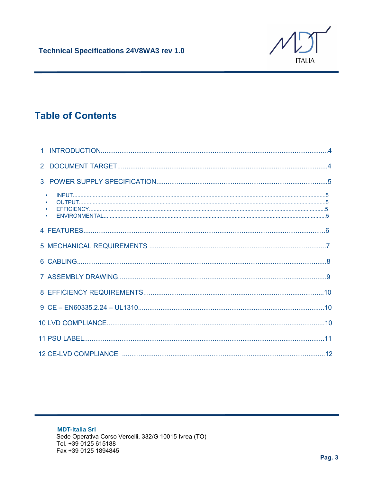

# **Table of Contents**

| $\bullet$<br>$\bullet$<br>$\bullet$ |  |
|-------------------------------------|--|
|                                     |  |
|                                     |  |
|                                     |  |
|                                     |  |
|                                     |  |
|                                     |  |
|                                     |  |
|                                     |  |
|                                     |  |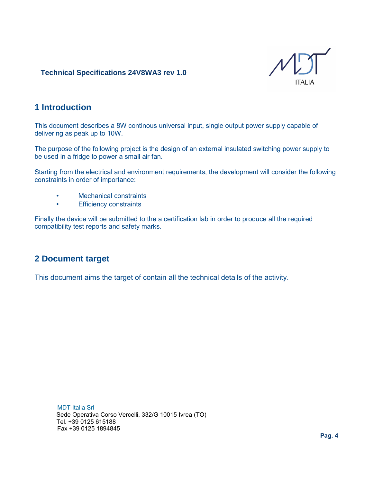

#### **1 Introduction**

This document describes a 8W continous universal input, single output power supply capable of delivering as peak up to 10W.

The purpose of the following project is the design of an external insulated switching power supply to be used in a fridge to power a small air fan.

Starting from the electrical and environment requirements, the development will consider the following constraints in order of importance:

- Mechanical constraints
- Efficiency constraints

Finally the device will be submitted to the a certification lab in order to produce all the required compatibility test reports and safety marks.

#### **2 Document target**

This document aims the target of contain all the technical details of the activity.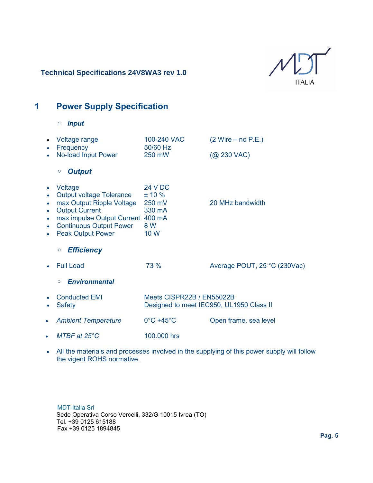

## **1 Power Supply Specification**

◦ *Input*

|                             | Voltage range<br>Frequency                                                                                                                                                                   | 100-240 VAC<br>50/60 Hz                                               | $(2 Write - no P.E.)$        |
|-----------------------------|----------------------------------------------------------------------------------------------------------------------------------------------------------------------------------------------|-----------------------------------------------------------------------|------------------------------|
|                             | No-load Input Power                                                                                                                                                                          | 250 mW                                                                | $(Q$ 230 VAC)                |
|                             | <b>Output</b><br>$\circ$                                                                                                                                                                     |                                                                       |                              |
| $\bullet$<br>$\bullet$<br>٠ | Voltage<br><b>Output voltage Tolerance</b><br>max Output Ripple Voltage<br><b>Output Current</b><br>max impulse Output Current<br><b>Continuous Output Power</b><br><b>Peak Output Power</b> | <b>24 V DC</b><br>± 10%<br>250 mV<br>330 mA<br>400 mA<br>8 W<br>10 W  | 20 MHz bandwidth             |
|                             | <b>Efficiency</b><br>$\circ$                                                                                                                                                                 |                                                                       |                              |
|                             | <b>Full Load</b>                                                                                                                                                                             | 73 %                                                                  | Average POUT, 25 °C (230Vac) |
|                             | <b>Environmental</b><br>O                                                                                                                                                                    |                                                                       |                              |
|                             | <b>Conducted EMI</b><br><b>Safety</b>                                                                                                                                                        | Meets CISPR22B / EN55022B<br>Designed to meet IEC950, UL1950 Class II |                              |
| $\bullet$                   | <b>Ambient Temperature</b>                                                                                                                                                                   | $0^{\circ}$ C +45 $^{\circ}$ C                                        | Open frame, sea level        |
|                             | $MTBF$ at $25^{\circ}C$                                                                                                                                                                      | 100,000 hrs                                                           |                              |

• All the materials and processes involved in the supplying of this power supply will follow the vigent ROHS normative.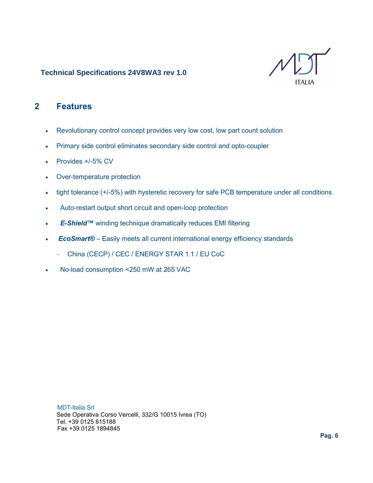

### **2 Features**

- Revolutionary control concept provides very low cost, low part count solution
- Primary side control eliminates secondary side control and opto-coupler
- Provides +/-5% CV
- Over-temperature protection
- tight tolerance (+/-5%) with hysteretic recovery for safe PCB temperature under all conditions
- Auto-restart output short circuit and open-loop protection
- E-Shield<sup>™</sup> winding technique dramatically reduces EMI filtering
- **EcoSmart®** Easily meets all current international energy efficiency standards
	- − China (CECP) / CEC / ENERGY STAR 1.1 / EU CoC
- No-load consumption <250 mW at 265 VAC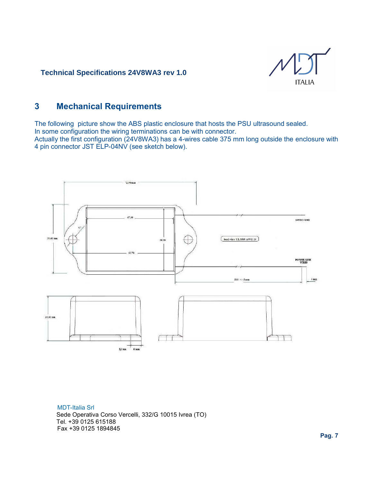

### **3 Mechanical Requirements**

The following picture show the ABS plastic enclosure that hosts the PSU ultrasound sealed. In some configuration the wiring terminations can be with connector. Actually the first configuration (24V8WA3) has a 4-wires cable 375 mm long outside the enclosure with

4 pin connector JST ELP-04NV (see sketch below).

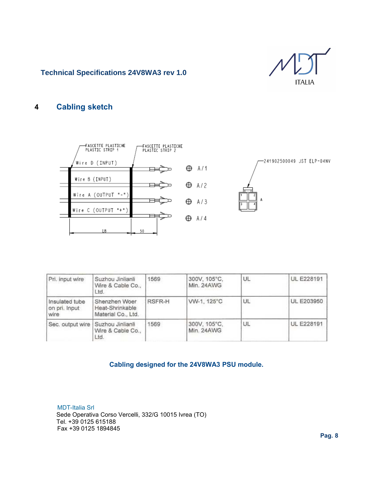

#### **4 Cabling sketch**



-241902500049 JST ELP-04NV



Pri. input wire Suzhou Jinlianli 1569 300V, 105°C, UL. UL E228191 Wire & Cable Co., Min. 24AWG Ltd. Shenzhen Woer RSFR-H VW-1, 125°C UL **UL E203950** Insulated tube on pri. Input Heat-Shrinkable wire Material Co., Ltd. 300V, 105°C, UL **UL E228191** Sec. output wire Suzhou Jinlianli 1569 Wire & Cable Co., Min. 24AWG Ltd.

#### **Cabling designed for the 24V8WA3 PSU module.**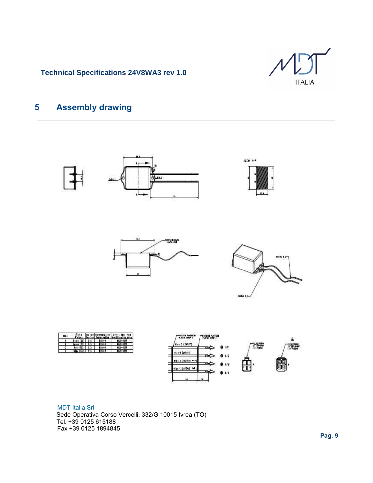

## **5 Assembly drawing**

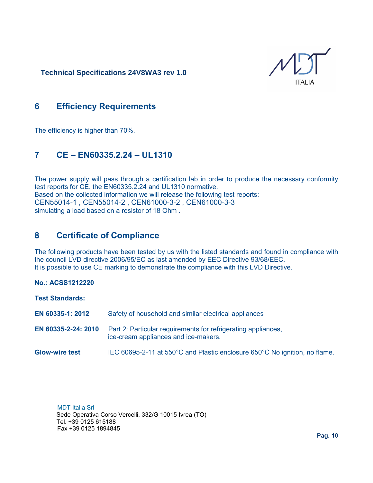ITAI IA

### **6 Efficiency Requirements**

The efficiency is higher than 70%.

### **7 CE – EN60335.2.24 – UL1310**

The power supply will pass through a certification lab in order to produce the necessary conformity test reports for CE, the EN60335.2.24 and UL1310 normative. Based on the collected information we will release the following test reports: CEN55014-1 , CEN55014-2 , CEN61000-3-2 , CEN61000-3-3 simulating a load based on a resistor of 18 Ohm .

### **8 Certificate of Compliance**

The following products have been tested by us with the listed standards and found in compliance with the council LVD directive 2006/95/EC as last amended by EEC Directive 93/68/EEC. It is possible to use CE marking to demonstrate the compliance with this LVD Directive.

#### **No.: ACSS1212220**

**Test Standards:**

- **EN 60335-1: 2012** Safety of household and similar electrical appliances
- **EN 60335-2-24: 2010** Part 2: Particular requirements for refrigerating appliances, ice-cream appliances and ice-makers.
- **Glow-wire test** IEC 60695-2-11 at 550°C and Plastic enclosure 650°C No ignition, no flame.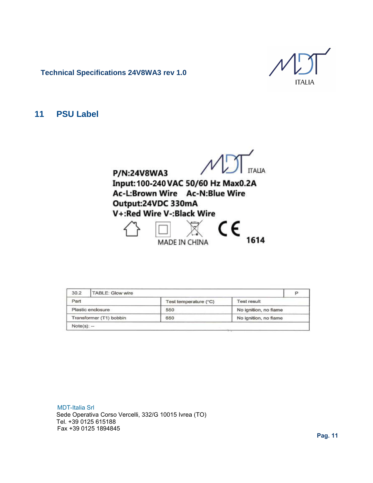**ITALIA** 

#### **11 PSU Label**



| 30.2         | TABLE: Glow wire        |                       |                       | P |
|--------------|-------------------------|-----------------------|-----------------------|---|
| Part         |                         | Test temperature (°C) | <b>Test result</b>    |   |
|              | Plastic enclosure       | 550                   | No ignition, no flame |   |
|              | Transformer (T1) bobbin | 650                   | No ignition, no flame |   |
| $Note(s): -$ |                         |                       |                       |   |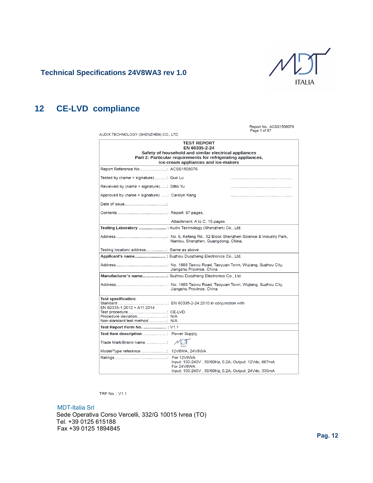

## **12 CE-LVD compliance**

| AUDIX TECHNOLOGY (SHENZHEN) CO., LTD                                                                                                                                                                 |                                                          | Report No.: ACSS1508076<br>Page 1 of 87 |  |  |
|------------------------------------------------------------------------------------------------------------------------------------------------------------------------------------------------------|----------------------------------------------------------|-----------------------------------------|--|--|
| <b>TEST REPORT</b><br>EN 60335-2-24<br>Safety of household and similar electrical appliances<br>Part 2: Particular requirements for refrigerating appliances,<br>ice-cream appliances and ice-makers |                                                          |                                         |  |  |
|                                                                                                                                                                                                      |                                                          |                                         |  |  |
| Tested by (name + signature) : Guo Lu                                                                                                                                                                |                                                          |                                         |  |  |
| Reviewed by (name + signature): Ditto Yu                                                                                                                                                             |                                                          |                                         |  |  |
| Approved by (name + signature) : Carolyn Kang                                                                                                                                                        |                                                          |                                         |  |  |
|                                                                                                                                                                                                      |                                                          |                                         |  |  |
|                                                                                                                                                                                                      |                                                          |                                         |  |  |
|                                                                                                                                                                                                      | Attachment: A to C: 15 pages                             |                                         |  |  |
| Testing Laboratory  : Audix Technology (Shenzhen) Co., Ltd.                                                                                                                                          |                                                          |                                         |  |  |
| Nantou, Shenzhen, Guangdong, China.                                                                                                                                                                  |                                                          |                                         |  |  |
| Testing location/ address Same as above                                                                                                                                                              |                                                          |                                         |  |  |
|                                                                                                                                                                                                      | Applicant's name : Suzhou Duozheng Electronics Co., Ltd. |                                         |  |  |
| Jiangshu Province, China                                                                                                                                                                             |                                                          |                                         |  |  |
| Manufacturer's name: Suzhou Duozheng Electronics Co., Ltd.                                                                                                                                           |                                                          |                                         |  |  |
|                                                                                                                                                                                                      | Jiangshu Province, China                                 |                                         |  |  |
| <b>Test specification:</b><br>EN 60335-1:2012 + A11:2014                                                                                                                                             |                                                          |                                         |  |  |
|                                                                                                                                                                                                      |                                                          |                                         |  |  |
| Non-standard test method N/A                                                                                                                                                                         |                                                          |                                         |  |  |
| Test Report Form No.  : V1.1                                                                                                                                                                         |                                                          |                                         |  |  |
| Trade Mark/Brand name:                                                                                                                                                                               |                                                          |                                         |  |  |
|                                                                                                                                                                                                      |                                                          |                                         |  |  |
| For 12V8WA<br>Input: 100-240V, 50/60Hz, 0.2A; Output: 12Vdc, 667mA<br>For 24V8WA:<br>Input: 100-240V, 50/60Hz, 0.2A; Output: 24Vdc, 330mA                                                            |                                                          |                                         |  |  |

**TRF No.: V1.1**